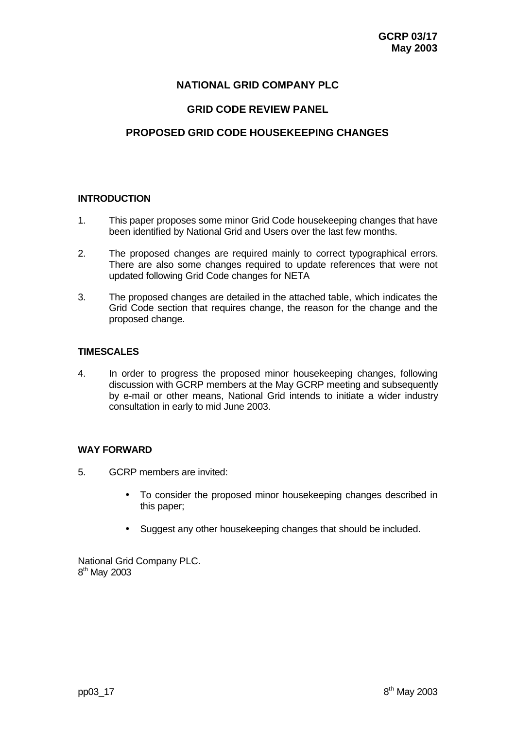## **NATIONAL GRID COMPANY PLC**

## **GRID CODE REVIEW PANEL**

# **PROPOSED GRID CODE HOUSEKEEPING CHANGES**

## **INTRODUCTION**

- 1. This paper proposes some minor Grid Code housekeeping changes that have been identified by National Grid and Users over the last few months.
- 2. The proposed changes are required mainly to correct typographical errors. There are also some changes required to update references that were not updated following Grid Code changes for NETA
- 3. The proposed changes are detailed in the attached table, which indicates the Grid Code section that requires change, the reason for the change and the proposed change.

### **TIMESCALES**

4. In order to progress the proposed minor housekeeping changes, following discussion with GCRP members at the May GCRP meeting and subsequently by e-mail or other means, National Grid intends to initiate a wider industry consultation in early to mid June 2003.

#### **WAY FORWARD**

- 5. GCRP members are invited:
	- To consider the proposed minor housekeeping changes described in this paper;
	- Suggest any other housekeeping changes that should be included.

National Grid Company PLC. 8<sup>th</sup> May 2003